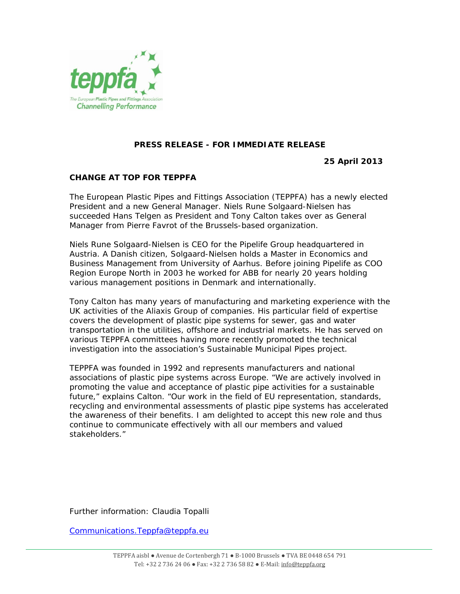

## **PRESS RELEASE - FOR IMMEDIATE RELEASE**

**25 April 2013** 

## **CHANGE AT TOP FOR TEPPFA**

The European Plastic Pipes and Fittings Association (TEPPFA) has a newly elected President and a new General Manager. Niels Rune Solgaard-Nielsen has succeeded Hans Telgen as President and Tony Calton takes over as General Manager from Pierre Favrot of the Brussels-based organization.

Niels Rune Solgaard-Nielsen is CEO for the Pipelife Group headquartered in Austria. A Danish citizen, Solgaard-Nielsen holds a Master in Economics and Business Management from University of Aarhus. Before joining Pipelife as COO Region Europe North in 2003 he worked for ABB for nearly 20 years holding various management positions in Denmark and internationally.

Tony Calton has many years of manufacturing and marketing experience with the UK activities of the Aliaxis Group of companies. His particular field of expertise covers the development of plastic pipe systems for sewer, gas and water transportation in the utilities, offshore and industrial markets. He has served on various TEPPFA committees having more recently promoted the technical investigation into the association's Sustainable Municipal Pipes project.

TEPPFA was founded in 1992 and represents manufacturers and national associations of plastic pipe systems across Europe. "We are actively involved in promoting the value and acceptance of plastic pipe activities for a sustainable future," explains Calton. "Our work in the field of EU representation, standards, recycling and environmental assessments of plastic pipe systems has accelerated the awareness of their benefits. I am delighted to accept this new role and thus continue to communicate effectively with all our members and valued stakeholders."

Further information: Claudia Topalli

Communications.Teppfa@teppfa.eu